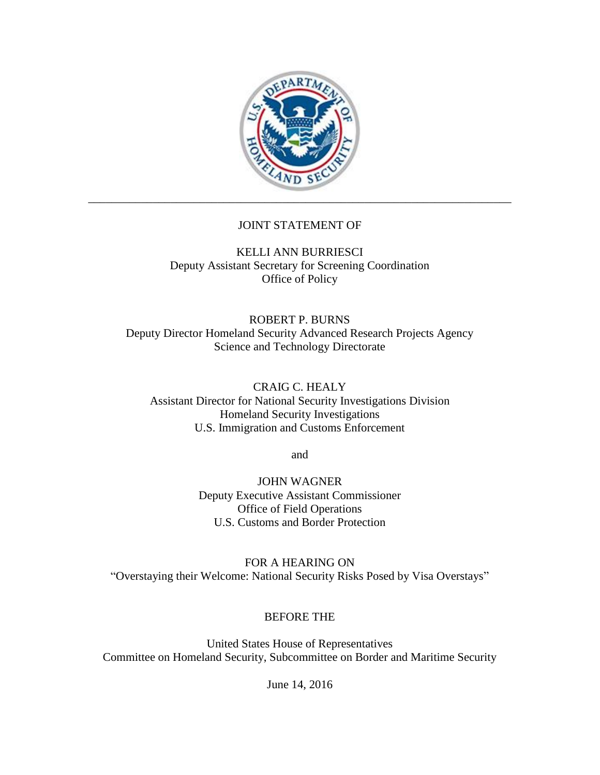

# JOINT STATEMENT OF

KELLI ANN BURRIESCI Deputy Assistant Secretary for Screening Coordination Office of Policy

ROBERT P. BURNS Deputy Director Homeland Security Advanced Research Projects Agency Science and Technology Directorate

CRAIG C. HEALY Assistant Director for National Security Investigations Division Homeland Security Investigations U.S. Immigration and Customs Enforcement

and

JOHN WAGNER Deputy Executive Assistant Commissioner Office of Field Operations U.S. Customs and Border Protection

FOR A HEARING ON "Overstaying their Welcome: National Security Risks Posed by Visa Overstays"

### BEFORE THE

United States House of Representatives Committee on Homeland Security, Subcommittee on Border and Maritime Security

June 14, 2016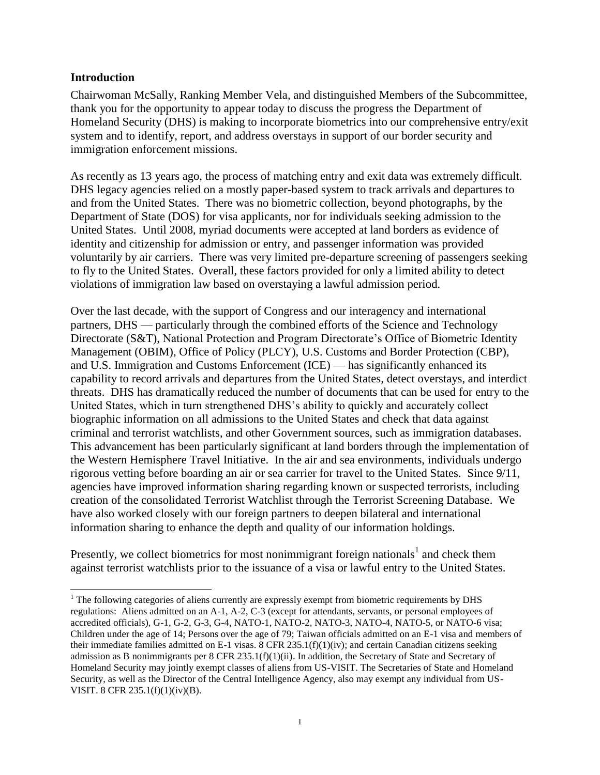#### **Introduction**

Chairwoman McSally, Ranking Member Vela, and distinguished Members of the Subcommittee, thank you for the opportunity to appear today to discuss the progress the Department of Homeland Security (DHS) is making to incorporate biometrics into our comprehensive entry/exit system and to identify, report, and address overstays in support of our border security and immigration enforcement missions.

As recently as 13 years ago, the process of matching entry and exit data was extremely difficult. DHS legacy agencies relied on a mostly paper-based system to track arrivals and departures to and from the United States. There was no biometric collection, beyond photographs, by the Department of State (DOS) for visa applicants, nor for individuals seeking admission to the United States. Until 2008, myriad documents were accepted at land borders as evidence of identity and citizenship for admission or entry, and passenger information was provided voluntarily by air carriers. There was very limited pre-departure screening of passengers seeking to fly to the United States. Overall, these factors provided for only a limited ability to detect violations of immigration law based on overstaying a lawful admission period.

Over the last decade, with the support of Congress and our interagency and international partners, DHS — particularly through the combined efforts of the Science and Technology Directorate (S&T), National Protection and Program Directorate's Office of Biometric Identity Management (OBIM), Office of Policy (PLCY), U.S. Customs and Border Protection (CBP), and U.S. Immigration and Customs Enforcement (ICE) — has significantly enhanced its capability to record arrivals and departures from the United States, detect overstays, and interdict threats. DHS has dramatically reduced the number of documents that can be used for entry to the United States, which in turn strengthened DHS's ability to quickly and accurately collect biographic information on all admissions to the United States and check that data against criminal and terrorist watchlists, and other Government sources, such as immigration databases. This advancement has been particularly significant at land borders through the implementation of the Western Hemisphere Travel Initiative. In the air and sea environments, individuals undergo rigorous vetting before boarding an air or sea carrier for travel to the United States. Since 9/11, agencies have improved information sharing regarding known or suspected terrorists, including creation of the consolidated Terrorist Watchlist through the Terrorist Screening Database. We have also worked closely with our foreign partners to deepen bilateral and international information sharing to enhance the depth and quality of our information holdings.

Presently, we collect biometrics for most nonimmigrant foreign nationals<sup>1</sup> and check them against terrorist watchlists prior to the issuance of a visa or lawful entry to the United States.

 $\overline{\phantom{a}}$ <sup>1</sup> The following categories of aliens currently are expressly exempt from biometric requirements by DHS regulations: Aliens admitted on an A-1, A-2, C-3 (except for attendants, servants, or personal employees of accredited officials), G-1, G-2, G-3, G-4, NATO-1, NATO-2, NATO-3, NATO-4, NATO-5, or NATO-6 visa; Children under the age of 14; Persons over the age of 79; Taiwan officials admitted on an E-1 visa and members of their immediate families admitted on E-1 visas.  $\overline{8}$  CFR 235.1(f)(1)(iv); and certain Canadian citizens seeking admission as B nonimmigrants per 8 CFR 235.1(f)(1)(ii). In addition, the Secretary of State and Secretary of Homeland Security may jointly exempt classes of aliens from US-VISIT. The Secretaries of State and Homeland Security, as well as the Director of the Central Intelligence Agency, also may exempt any individual from US-VISIT. 8 CFR 235.1(f)(1)(iv)(B).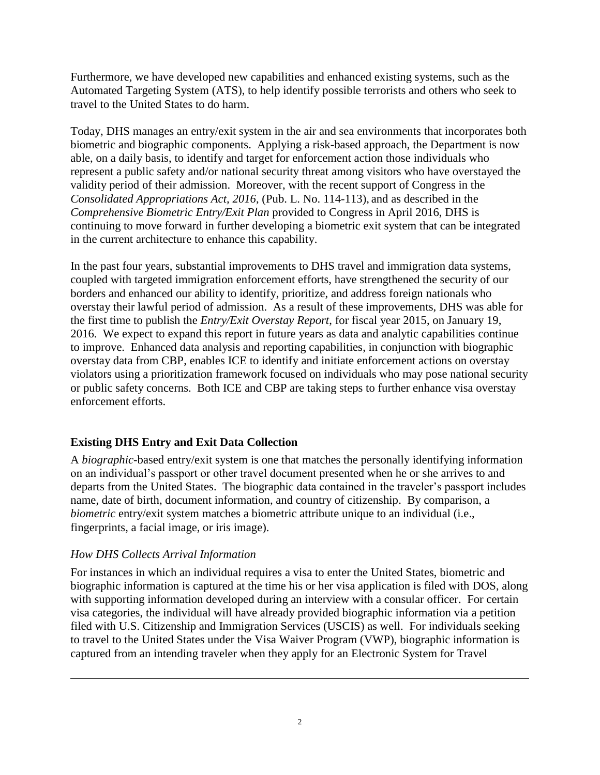Furthermore, we have developed new capabilities and enhanced existing systems, such as the Automated Targeting System (ATS), to help identify possible terrorists and others who seek to travel to the United States to do harm.

Today, DHS manages an entry/exit system in the air and sea environments that incorporates both biometric and biographic components. Applying a risk-based approach, the Department is now able, on a daily basis, to identify and target for enforcement action those individuals who represent a public safety and/or national security threat among visitors who have overstayed the validity period of their admission. Moreover, with the recent support of Congress in the *Consolidated Appropriations Act, 2016*, (Pub. L. No. 114-113), and as described in the *Comprehensive Biometric Entry/Exit Plan* provided to Congress in April 2016, DHS is continuing to move forward in further developing a biometric exit system that can be integrated in the current architecture to enhance this capability.

In the past four years, substantial improvements to DHS travel and immigration data systems, coupled with targeted immigration enforcement efforts, have strengthened the security of our borders and enhanced our ability to identify, prioritize, and address foreign nationals who overstay their lawful period of admission. As a result of these improvements, DHS was able for the first time to publish the *Entry/Exit Overstay Report*, for fiscal year 2015, on January 19, 2016. We expect to expand this report in future years as data and analytic capabilities continue to improve. Enhanced data analysis and reporting capabilities, in conjunction with biographic overstay data from CBP, enables ICE to identify and initiate enforcement actions on overstay violators using a prioritization framework focused on individuals who may pose national security or public safety concerns. Both ICE and CBP are taking steps to further enhance visa overstay enforcement efforts.

# **Existing DHS Entry and Exit Data Collection**

A *biographic*-based entry/exit system is one that matches the personally identifying information on an individual's passport or other travel document presented when he or she arrives to and departs from the United States. The biographic data contained in the traveler's passport includes name, date of birth, document information, and country of citizenship. By comparison, a *biometric* entry/exit system matches a biometric attribute unique to an individual (i.e., fingerprints, a facial image, or iris image).

### *How DHS Collects Arrival Information*

 $\overline{\phantom{a}}$ 

For instances in which an individual requires a visa to enter the United States, biometric and biographic information is captured at the time his or her visa application is filed with DOS, along with supporting information developed during an interview with a consular officer. For certain visa categories, the individual will have already provided biographic information via a petition filed with U.S. Citizenship and Immigration Services (USCIS) as well. For individuals seeking to travel to the United States under the Visa Waiver Program (VWP), biographic information is captured from an intending traveler when they apply for an Electronic System for Travel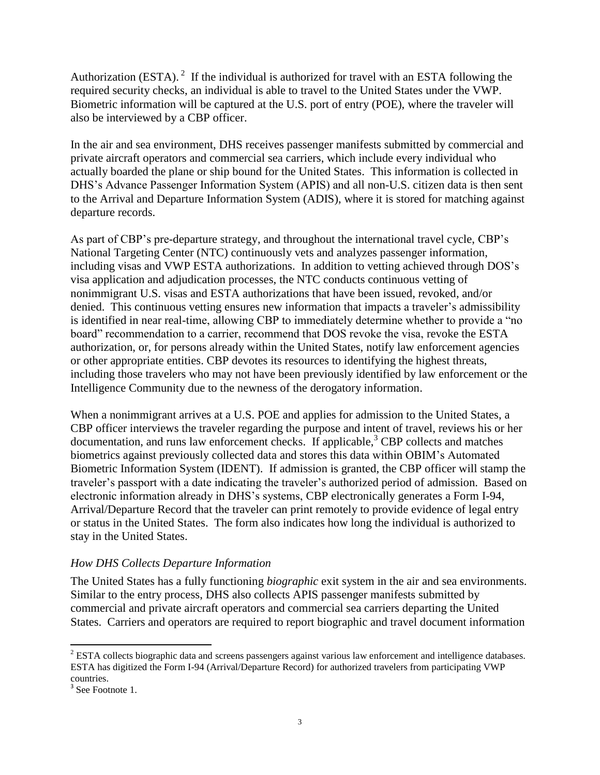Authorization (ESTA).<sup>2</sup> If the individual is authorized for travel with an ESTA following the required security checks, an individual is able to travel to the United States under the VWP. Biometric information will be captured at the U.S. port of entry (POE), where the traveler will also be interviewed by a CBP officer.

In the air and sea environment, DHS receives passenger manifests submitted by commercial and private aircraft operators and commercial sea carriers, which include every individual who actually boarded the plane or ship bound for the United States. This information is collected in DHS's Advance Passenger Information System (APIS) and all non-U.S. citizen data is then sent to the Arrival and Departure Information System (ADIS), where it is stored for matching against departure records.

As part of CBP's pre-departure strategy, and throughout the international travel cycle, CBP's National Targeting Center (NTC) continuously vets and analyzes passenger information, including visas and VWP ESTA authorizations. In addition to vetting achieved through DOS's visa application and adjudication processes, the NTC conducts continuous vetting of nonimmigrant U.S. visas and ESTA authorizations that have been issued, revoked, and/or denied. This continuous vetting ensures new information that impacts a traveler's admissibility is identified in near real-time, allowing CBP to immediately determine whether to provide a "no board" recommendation to a carrier, recommend that DOS revoke the visa, revoke the ESTA authorization, or, for persons already within the United States, notify law enforcement agencies or other appropriate entities. CBP devotes its resources to identifying the highest threats, including those travelers who may not have been previously identified by law enforcement or the Intelligence Community due to the newness of the derogatory information.

When a nonimmigrant arrives at a U.S. POE and applies for admission to the United States, a CBP officer interviews the traveler regarding the purpose and intent of travel, reviews his or her  $d$  documentation, and runs law enforcement checks. If applicable,  $3$  CBP collects and matches biometrics against previously collected data and stores this data within OBIM's Automated Biometric Information System (IDENT). If admission is granted, the CBP officer will stamp the traveler's passport with a date indicating the traveler's authorized period of admission. Based on electronic information already in DHS's systems, CBP electronically generates a Form I-94, Arrival/Departure Record that the traveler can print remotely to provide evidence of legal entry or status in the United States. The form also indicates how long the individual is authorized to stay in the United States.

### *How DHS Collects Departure Information*

The United States has a fully functioning *biographic* exit system in the air and sea environments. Similar to the entry process, DHS also collects APIS passenger manifests submitted by commercial and private aircraft operators and commercial sea carriers departing the United States. Carriers and operators are required to report biographic and travel document information

 $\overline{a}$ 

<sup>&</sup>lt;sup>2</sup> ESTA collects biographic data and screens passengers against various law enforcement and intelligence databases. ESTA has digitized the Form I-94 (Arrival/Departure Record) for authorized travelers from participating VWP countries.

<sup>&</sup>lt;sup>3</sup> See Footnote 1.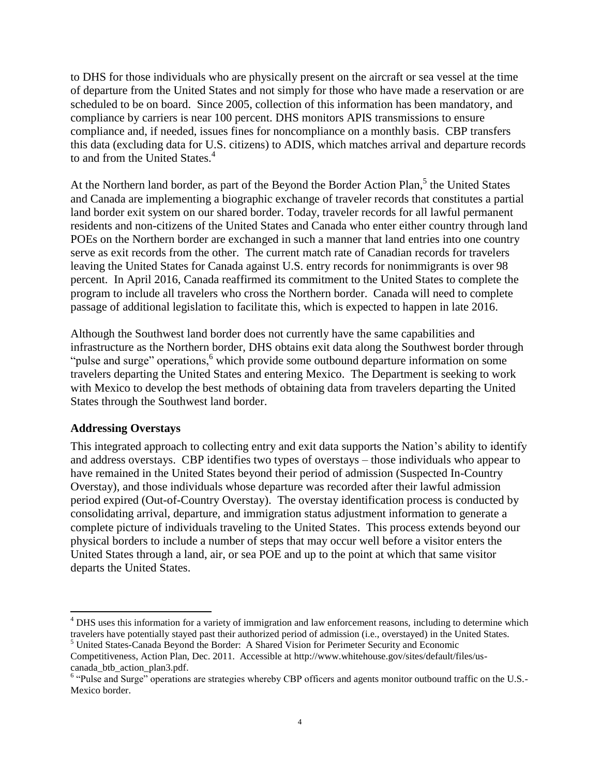to DHS for those individuals who are physically present on the aircraft or sea vessel at the time of departure from the United States and not simply for those who have made a reservation or are scheduled to be on board. Since 2005, collection of this information has been mandatory, and compliance by carriers is near 100 percent. DHS monitors APIS transmissions to ensure compliance and, if needed, issues fines for noncompliance on a monthly basis. CBP transfers this data (excluding data for U.S. citizens) to ADIS, which matches arrival and departure records to and from the United States.<sup>4</sup>

At the Northern land border, as part of the Beyond the Border Action Plan,<sup>5</sup> the United States and Canada are implementing a biographic exchange of traveler records that constitutes a partial land border exit system on our shared border. Today, traveler records for all lawful permanent residents and non-citizens of the United States and Canada who enter either country through land POEs on the Northern border are exchanged in such a manner that land entries into one country serve as exit records from the other. The current match rate of Canadian records for travelers leaving the United States for Canada against U.S. entry records for nonimmigrants is over 98 percent. In April 2016, Canada reaffirmed its commitment to the United States to complete the program to include all travelers who cross the Northern border. Canada will need to complete passage of additional legislation to facilitate this, which is expected to happen in late 2016.

Although the Southwest land border does not currently have the same capabilities and infrastructure as the Northern border, DHS obtains exit data along the Southwest border through "pulse and surge" operations,<sup>6</sup> which provide some outbound departure information on some travelers departing the United States and entering Mexico. The Department is seeking to work with Mexico to develop the best methods of obtaining data from travelers departing the United States through the Southwest land border.

#### **Addressing Overstays**

 $\overline{\phantom{a}}$ 

This integrated approach to collecting entry and exit data supports the Nation's ability to identify and address overstays. CBP identifies two types of overstays – those individuals who appear to have remained in the United States beyond their period of admission (Suspected In-Country Overstay), and those individuals whose departure was recorded after their lawful admission period expired (Out-of-Country Overstay). The overstay identification process is conducted by consolidating arrival, departure, and immigration status adjustment information to generate a complete picture of individuals traveling to the United States. This process extends beyond our physical borders to include a number of steps that may occur well before a visitor enters the United States through a land, air, or sea POE and up to the point at which that same visitor departs the United States.

<sup>&</sup>lt;sup>4</sup> DHS uses this information for a variety of immigration and law enforcement reasons, including to determine which travelers have potentially stayed past their authorized period of admission (i.e., overstayed) in the United States.

<sup>5</sup> United States-Canada Beyond the Border: A Shared Vision for Perimeter Security and Economic Competitiveness, Action Plan, Dec. 2011. Accessible at http://www.whitehouse.gov/sites/default/files/uscanada\_btb\_action\_plan3.pdf.

<sup>&</sup>lt;sup>6</sup> "Pulse and Surge" operations are strategies whereby CBP officers and agents monitor outbound traffic on the U.S.-Mexico border.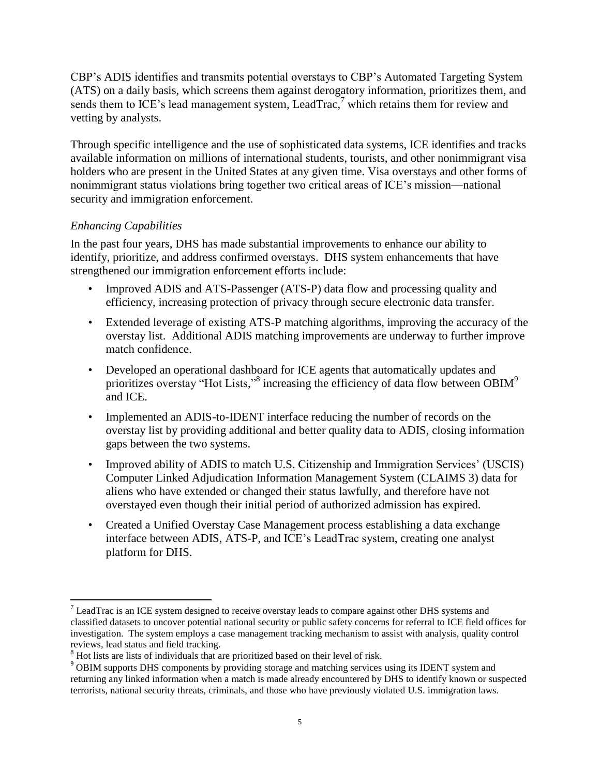CBP's ADIS identifies and transmits potential overstays to CBP's Automated Targeting System (ATS) on a daily basis, which screens them against derogatory information, prioritizes them, and sends them to ICE's lead management system, LeadTrac, $\bar{z}$  which retains them for review and vetting by analysts.

Through specific intelligence and the use of sophisticated data systems, ICE identifies and tracks available information on millions of international students, tourists, and other nonimmigrant visa holders who are present in the United States at any given time. Visa overstays and other forms of nonimmigrant status violations bring together two critical areas of ICE's mission—national security and immigration enforcement.

### *Enhancing Capabilities*

l

In the past four years, DHS has made substantial improvements to enhance our ability to identify, prioritize, and address confirmed overstays. DHS system enhancements that have strengthened our immigration enforcement efforts include:

- Improved ADIS and ATS-Passenger (ATS-P) data flow and processing quality and efficiency, increasing protection of privacy through secure electronic data transfer.
- Extended leverage of existing ATS-P matching algorithms, improving the accuracy of the overstay list. Additional ADIS matching improvements are underway to further improve match confidence.
- Developed an operational dashboard for ICE agents that automatically updates and prioritizes overstay "Hot Lists,"<sup>8</sup> increasing the efficiency of data flow between OBIM<sup>9</sup> and ICE.
- Implemented an ADIS-to-IDENT interface reducing the number of records on the overstay list by providing additional and better quality data to ADIS, closing information gaps between the two systems.
- Improved ability of ADIS to match U.S. Citizenship and Immigration Services' (USCIS) Computer Linked Adjudication Information Management System (CLAIMS 3) data for aliens who have extended or changed their status lawfully, and therefore have not overstayed even though their initial period of authorized admission has expired.
- Created a Unified Overstay Case Management process establishing a data exchange interface between ADIS, ATS-P, and ICE's LeadTrac system, creating one analyst platform for DHS.

 $<sup>7</sup>$  LeadTrac is an ICE system designed to receive overstay leads to compare against other DHS systems and</sup> classified datasets to uncover potential national security or public safety concerns for referral to ICE field offices for investigation. The system employs a case management tracking mechanism to assist with analysis, quality control reviews, lead status and field tracking.

<sup>&</sup>lt;sup>8</sup> Hot lists are lists of individuals that are prioritized based on their level of risk.

<sup>&</sup>lt;sup>9</sup> OBIM supports DHS components by providing storage and matching services using its IDENT system and returning any linked information when a match is made already encountered by DHS to identify known or suspected terrorists, national security threats, criminals, and those who have previously violated U.S. immigration laws.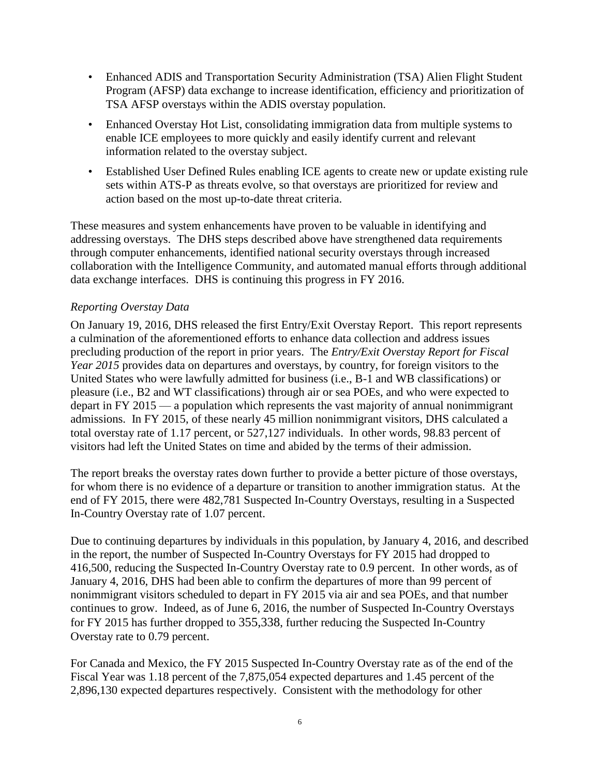- Enhanced ADIS and Transportation Security Administration (TSA) Alien Flight Student Program (AFSP) data exchange to increase identification, efficiency and prioritization of TSA AFSP overstays within the ADIS overstay population.
- Enhanced Overstay Hot List, consolidating immigration data from multiple systems to enable ICE employees to more quickly and easily identify current and relevant information related to the overstay subject.
- Established User Defined Rules enabling ICE agents to create new or update existing rule sets within ATS-P as threats evolve, so that overstays are prioritized for review and action based on the most up-to-date threat criteria.

These measures and system enhancements have proven to be valuable in identifying and addressing overstays. The DHS steps described above have strengthened data requirements through computer enhancements, identified national security overstays through increased collaboration with the Intelligence Community, and automated manual efforts through additional data exchange interfaces. DHS is continuing this progress in FY 2016.

### *Reporting Overstay Data*

On January 19, 2016, DHS released the first Entry/Exit Overstay Report. This report represents a culmination of the aforementioned efforts to enhance data collection and address issues precluding production of the report in prior years. The *Entry/Exit Overstay Report for Fiscal Year 2015* provides data on departures and overstays, by country, for foreign visitors to the United States who were lawfully admitted for business (i.e., B-1 and WB classifications) or pleasure (i.e., B2 and WT classifications) through air or sea POEs, and who were expected to depart in FY 2015 — a population which represents the vast majority of annual nonimmigrant admissions. In FY 2015, of these nearly 45 million nonimmigrant visitors, DHS calculated a total overstay rate of 1.17 percent, or 527,127 individuals. In other words, 98.83 percent of visitors had left the United States on time and abided by the terms of their admission.

The report breaks the overstay rates down further to provide a better picture of those overstays, for whom there is no evidence of a departure or transition to another immigration status. At the end of FY 2015, there were 482,781 Suspected In-Country Overstays, resulting in a Suspected In-Country Overstay rate of 1.07 percent.

Due to continuing departures by individuals in this population, by January 4, 2016, and described in the report, the number of Suspected In-Country Overstays for FY 2015 had dropped to 416,500, reducing the Suspected In-Country Overstay rate to 0.9 percent. In other words, as of January 4, 2016, DHS had been able to confirm the departures of more than 99 percent of nonimmigrant visitors scheduled to depart in FY 2015 via air and sea POEs, and that number continues to grow. Indeed, as of June 6, 2016, the number of Suspected In-Country Overstays for FY 2015 has further dropped to 355,338, further reducing the Suspected In-Country Overstay rate to 0.79 percent.

For Canada and Mexico, the FY 2015 Suspected In-Country Overstay rate as of the end of the Fiscal Year was 1.18 percent of the 7,875,054 expected departures and 1.45 percent of the 2,896,130 expected departures respectively. Consistent with the methodology for other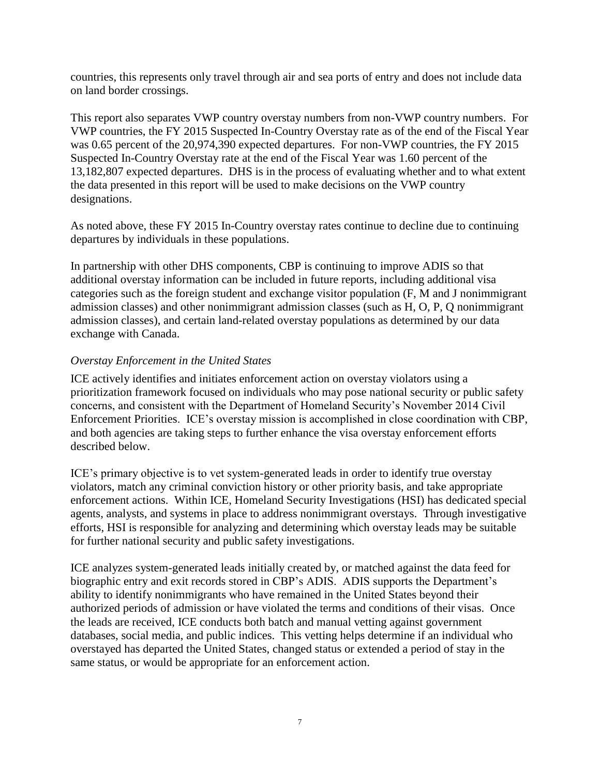countries, this represents only travel through air and sea ports of entry and does not include data on land border crossings.

This report also separates VWP country overstay numbers from non-VWP country numbers. For VWP countries, the FY 2015 Suspected In-Country Overstay rate as of the end of the Fiscal Year was 0.65 percent of the 20,974,390 expected departures. For non-VWP countries, the FY 2015 Suspected In-Country Overstay rate at the end of the Fiscal Year was 1.60 percent of the 13,182,807 expected departures. DHS is in the process of evaluating whether and to what extent the data presented in this report will be used to make decisions on the VWP country designations.

As noted above, these FY 2015 In-Country overstay rates continue to decline due to continuing departures by individuals in these populations.

In partnership with other DHS components, CBP is continuing to improve ADIS so that additional overstay information can be included in future reports, including additional visa categories such as the foreign student and exchange visitor population (F, M and J nonimmigrant admission classes) and other nonimmigrant admission classes (such as H, O, P, Q nonimmigrant admission classes), and certain land-related overstay populations as determined by our data exchange with Canada.

#### *Overstay Enforcement in the United States*

ICE actively identifies and initiates enforcement action on overstay violators using a prioritization framework focused on individuals who may pose national security or public safety concerns, and consistent with the Department of Homeland Security's November 2014 Civil Enforcement Priorities. ICE's overstay mission is accomplished in close coordination with CBP, and both agencies are taking steps to further enhance the visa overstay enforcement efforts described below.

ICE's primary objective is to vet system-generated leads in order to identify true overstay violators, match any criminal conviction history or other priority basis, and take appropriate enforcement actions. Within ICE, Homeland Security Investigations (HSI) has dedicated special agents, analysts, and systems in place to address nonimmigrant overstays. Through investigative efforts, HSI is responsible for analyzing and determining which overstay leads may be suitable for further national security and public safety investigations.

ICE analyzes system-generated leads initially created by, or matched against the data feed for biographic entry and exit records stored in CBP's ADIS. ADIS supports the Department's ability to identify nonimmigrants who have remained in the United States beyond their authorized periods of admission or have violated the terms and conditions of their visas. Once the leads are received, ICE conducts both batch and manual vetting against government databases, social media, and public indices. This vetting helps determine if an individual who overstayed has departed the United States, changed status or extended a period of stay in the same status, or would be appropriate for an enforcement action.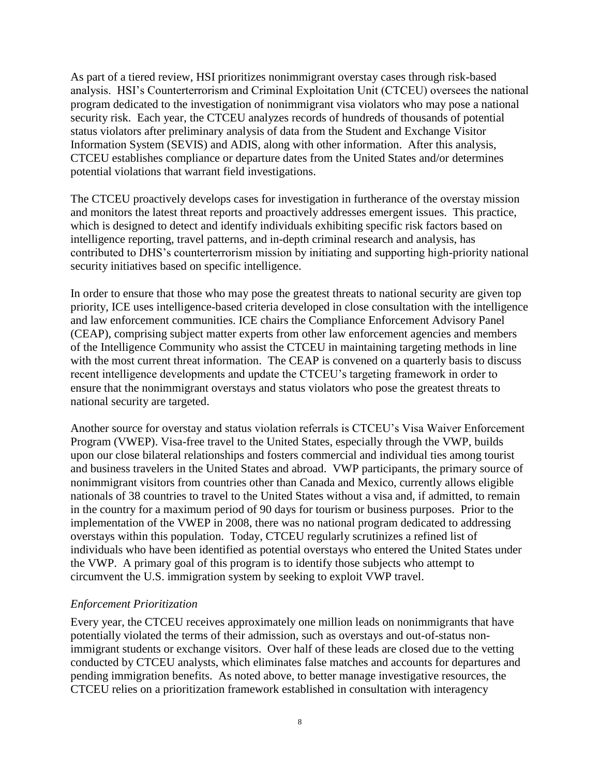As part of a tiered review, HSI prioritizes nonimmigrant overstay cases through risk-based analysis. HSI's Counterterrorism and Criminal Exploitation Unit (CTCEU) oversees the national program dedicated to the investigation of nonimmigrant visa violators who may pose a national security risk. Each year, the CTCEU analyzes records of hundreds of thousands of potential status violators after preliminary analysis of data from the Student and Exchange Visitor Information System (SEVIS) and ADIS, along with other information. After this analysis, CTCEU establishes compliance or departure dates from the United States and/or determines potential violations that warrant field investigations.

The CTCEU proactively develops cases for investigation in furtherance of the overstay mission and monitors the latest threat reports and proactively addresses emergent issues. This practice, which is designed to detect and identify individuals exhibiting specific risk factors based on intelligence reporting, travel patterns, and in-depth criminal research and analysis, has contributed to DHS's counterterrorism mission by initiating and supporting high-priority national security initiatives based on specific intelligence.

In order to ensure that those who may pose the greatest threats to national security are given top priority, ICE uses intelligence-based criteria developed in close consultation with the intelligence and law enforcement communities. ICE chairs the Compliance Enforcement Advisory Panel (CEAP), comprising subject matter experts from other law enforcement agencies and members of the Intelligence Community who assist the CTCEU in maintaining targeting methods in line with the most current threat information. The CEAP is convened on a quarterly basis to discuss recent intelligence developments and update the CTCEU's targeting framework in order to ensure that the nonimmigrant overstays and status violators who pose the greatest threats to national security are targeted.

Another source for overstay and status violation referrals is CTCEU's Visa Waiver Enforcement Program (VWEP). Visa-free travel to the United States, especially through the VWP, builds upon our close bilateral relationships and fosters commercial and individual ties among tourist and business travelers in the United States and abroad. VWP participants, the primary source of nonimmigrant visitors from countries other than Canada and Mexico, currently allows eligible nationals of 38 countries to travel to the United States without a visa and, if admitted, to remain in the country for a maximum period of 90 days for tourism or business purposes. Prior to the implementation of the VWEP in 2008, there was no national program dedicated to addressing overstays within this population. Today, CTCEU regularly scrutinizes a refined list of individuals who have been identified as potential overstays who entered the United States under the VWP. A primary goal of this program is to identify those subjects who attempt to circumvent the U.S. immigration system by seeking to exploit VWP travel.

#### *Enforcement Prioritization*

Every year, the CTCEU receives approximately one million leads on nonimmigrants that have potentially violated the terms of their admission, such as overstays and out-of-status nonimmigrant students or exchange visitors. Over half of these leads are closed due to the vetting conducted by CTCEU analysts, which eliminates false matches and accounts for departures and pending immigration benefits. As noted above, to better manage investigative resources, the CTCEU relies on a prioritization framework established in consultation with interagency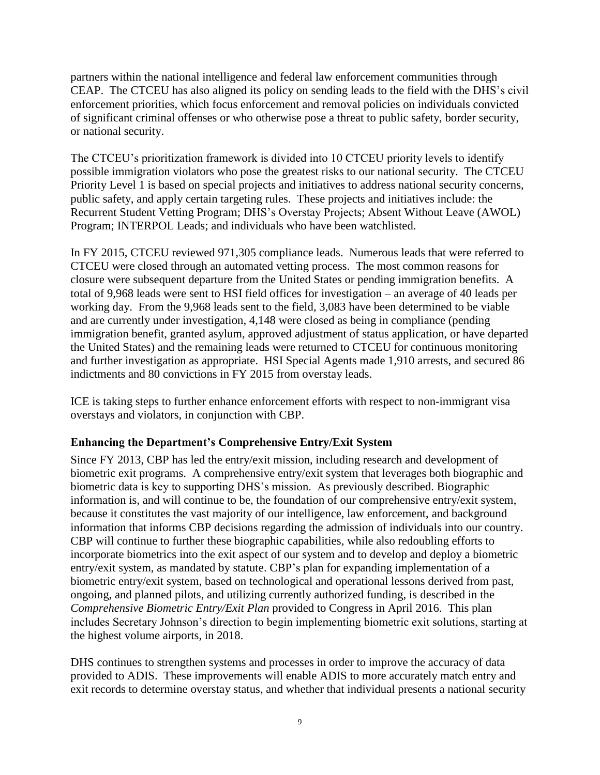partners within the national intelligence and federal law enforcement communities through CEAP. The CTCEU has also aligned its policy on sending leads to the field with the DHS's civil enforcement priorities, which focus enforcement and removal policies on individuals convicted of significant criminal offenses or who otherwise pose a threat to public safety, border security, or national security.

The CTCEU's prioritization framework is divided into 10 CTCEU priority levels to identify possible immigration violators who pose the greatest risks to our national security. The CTCEU Priority Level 1 is based on special projects and initiatives to address national security concerns, public safety, and apply certain targeting rules. These projects and initiatives include: the Recurrent Student Vetting Program; DHS's Overstay Projects; Absent Without Leave (AWOL) Program; INTERPOL Leads; and individuals who have been watchlisted.

In FY 2015, CTCEU reviewed 971,305 compliance leads. Numerous leads that were referred to CTCEU were closed through an automated vetting process. The most common reasons for closure were subsequent departure from the United States or pending immigration benefits. A total of 9,968 leads were sent to HSI field offices for investigation – an average of 40 leads per working day. From the 9,968 leads sent to the field, 3,083 have been determined to be viable and are currently under investigation, 4,148 were closed as being in compliance (pending immigration benefit, granted asylum, approved adjustment of status application, or have departed the United States) and the remaining leads were returned to CTCEU for continuous monitoring and further investigation as appropriate. HSI Special Agents made 1,910 arrests, and secured 86 indictments and 80 convictions in FY 2015 from overstay leads.

ICE is taking steps to further enhance enforcement efforts with respect to non-immigrant visa overstays and violators, in conjunction with CBP.

### **Enhancing the Department's Comprehensive Entry/Exit System**

Since FY 2013, CBP has led the entry/exit mission, including research and development of biometric exit programs. A comprehensive entry/exit system that leverages both biographic and biometric data is key to supporting DHS's mission. As previously described. Biographic information is, and will continue to be, the foundation of our comprehensive entry/exit system, because it constitutes the vast majority of our intelligence, law enforcement, and background information that informs CBP decisions regarding the admission of individuals into our country. CBP will continue to further these biographic capabilities, while also redoubling efforts to incorporate biometrics into the exit aspect of our system and to develop and deploy a biometric entry/exit system, as mandated by statute. CBP's plan for expanding implementation of a biometric entry/exit system, based on technological and operational lessons derived from past, ongoing, and planned pilots, and utilizing currently authorized funding, is described in the *Comprehensive Biometric Entry/Exit Plan* provided to Congress in April 2016. This plan includes Secretary Johnson's direction to begin implementing biometric exit solutions, starting at the highest volume airports, in 2018.

DHS continues to strengthen systems and processes in order to improve the accuracy of data provided to ADIS. These improvements will enable ADIS to more accurately match entry and exit records to determine overstay status, and whether that individual presents a national security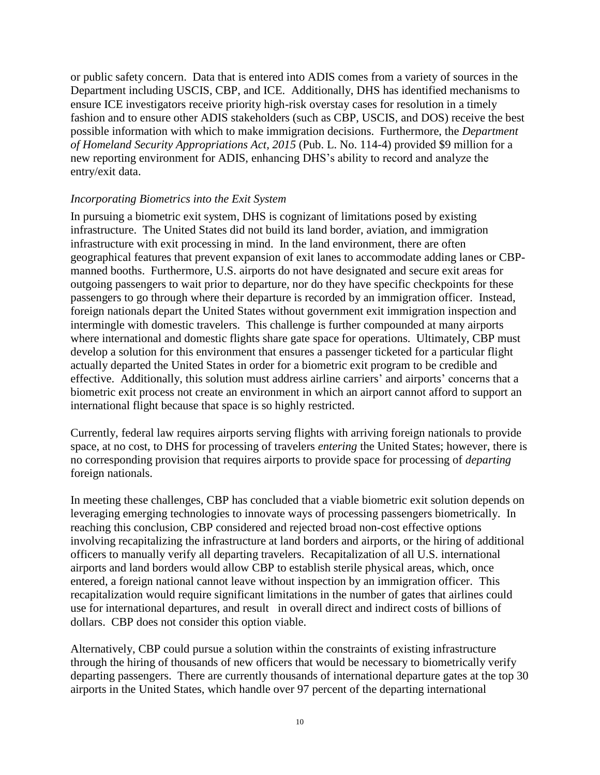or public safety concern. Data that is entered into ADIS comes from a variety of sources in the Department including USCIS, CBP, and ICE. Additionally, DHS has identified mechanisms to ensure ICE investigators receive priority high-risk overstay cases for resolution in a timely fashion and to ensure other ADIS stakeholders (such as CBP, USCIS, and DOS) receive the best possible information with which to make immigration decisions. Furthermore, the *Department of Homeland Security Appropriations Act, 2015* (Pub. L. No. 114-4) provided \$9 million for a new reporting environment for ADIS, enhancing DHS's ability to record and analyze the entry/exit data.

#### *Incorporating Biometrics into the Exit System*

In pursuing a biometric exit system, DHS is cognizant of limitations posed by existing infrastructure. The United States did not build its land border, aviation, and immigration infrastructure with exit processing in mind. In the land environment, there are often geographical features that prevent expansion of exit lanes to accommodate adding lanes or CBPmanned booths. Furthermore, U.S. airports do not have designated and secure exit areas for outgoing passengers to wait prior to departure, nor do they have specific checkpoints for these passengers to go through where their departure is recorded by an immigration officer. Instead, foreign nationals depart the United States without government exit immigration inspection and intermingle with domestic travelers. This challenge is further compounded at many airports where international and domestic flights share gate space for operations. Ultimately, CBP must develop a solution for this environment that ensures a passenger ticketed for a particular flight actually departed the United States in order for a biometric exit program to be credible and effective. Additionally, this solution must address airline carriers' and airports' concerns that a biometric exit process not create an environment in which an airport cannot afford to support an international flight because that space is so highly restricted.

Currently, federal law requires airports serving flights with arriving foreign nationals to provide space, at no cost, to DHS for processing of travelers *entering* the United States; however, there is no corresponding provision that requires airports to provide space for processing of *departing* foreign nationals.

In meeting these challenges, CBP has concluded that a viable biometric exit solution depends on leveraging emerging technologies to innovate ways of processing passengers biometrically. In reaching this conclusion, CBP considered and rejected broad non-cost effective options involving recapitalizing the infrastructure at land borders and airports, or the hiring of additional officers to manually verify all departing travelers. Recapitalization of all U.S. international airports and land borders would allow CBP to establish sterile physical areas, which, once entered, a foreign national cannot leave without inspection by an immigration officer. This recapitalization would require significant limitations in the number of gates that airlines could use for international departures, and result in overall direct and indirect costs of billions of dollars. CBP does not consider this option viable.

Alternatively, CBP could pursue a solution within the constraints of existing infrastructure through the hiring of thousands of new officers that would be necessary to biometrically verify departing passengers. There are currently thousands of international departure gates at the top 30 airports in the United States, which handle over 97 percent of the departing international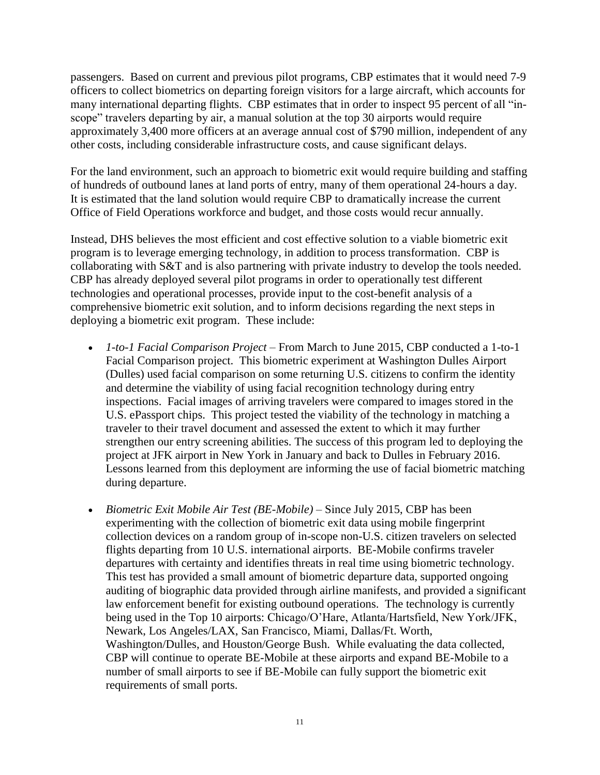passengers. Based on current and previous pilot programs, CBP estimates that it would need 7-9 officers to collect biometrics on departing foreign visitors for a large aircraft, which accounts for many international departing flights. CBP estimates that in order to inspect 95 percent of all "inscope" travelers departing by air, a manual solution at the top 30 airports would require approximately 3,400 more officers at an average annual cost of \$790 million, independent of any other costs, including considerable infrastructure costs, and cause significant delays.

For the land environment, such an approach to biometric exit would require building and staffing of hundreds of outbound lanes at land ports of entry, many of them operational 24-hours a day. It is estimated that the land solution would require CBP to dramatically increase the current Office of Field Operations workforce and budget, and those costs would recur annually.

Instead, DHS believes the most efficient and cost effective solution to a viable biometric exit program is to leverage emerging technology, in addition to process transformation. CBP is collaborating with S&T and is also partnering with private industry to develop the tools needed. CBP has already deployed several pilot programs in order to operationally test different technologies and operational processes, provide input to the cost-benefit analysis of a comprehensive biometric exit solution, and to inform decisions regarding the next steps in deploying a biometric exit program. These include:

- *1-to-1 Facial Comparison Project*  From March to June 2015, CBP conducted a 1-to-1 Facial Comparison project. This biometric experiment at Washington Dulles Airport (Dulles) used facial comparison on some returning U.S. citizens to confirm the identity and determine the viability of using facial recognition technology during entry inspections. Facial images of arriving travelers were compared to images stored in the U.S. ePassport chips. This project tested the viability of the technology in matching a traveler to their travel document and assessed the extent to which it may further strengthen our entry screening abilities. The success of this program led to deploying the project at JFK airport in New York in January and back to Dulles in February 2016. Lessons learned from this deployment are informing the use of facial biometric matching during departure.
- *Biometric Exit Mobile Air Test (BE-Mobile)* Since July 2015, CBP has been experimenting with the collection of biometric exit data using mobile fingerprint collection devices on a random group of in-scope non-U.S. citizen travelers on selected flights departing from 10 U.S. international airports. BE-Mobile confirms traveler departures with certainty and identifies threats in real time using biometric technology. This test has provided a small amount of biometric departure data, supported ongoing auditing of biographic data provided through airline manifests, and provided a significant law enforcement benefit for existing outbound operations. The technology is currently being used in the Top 10 airports: Chicago/O'Hare, Atlanta/Hartsfield, New York/JFK, Newark, Los Angeles/LAX, San Francisco, Miami, Dallas/Ft. Worth, Washington/Dulles, and Houston/George Bush. While evaluating the data collected, CBP will continue to operate BE-Mobile at these airports and expand BE-Mobile to a number of small airports to see if BE-Mobile can fully support the biometric exit requirements of small ports.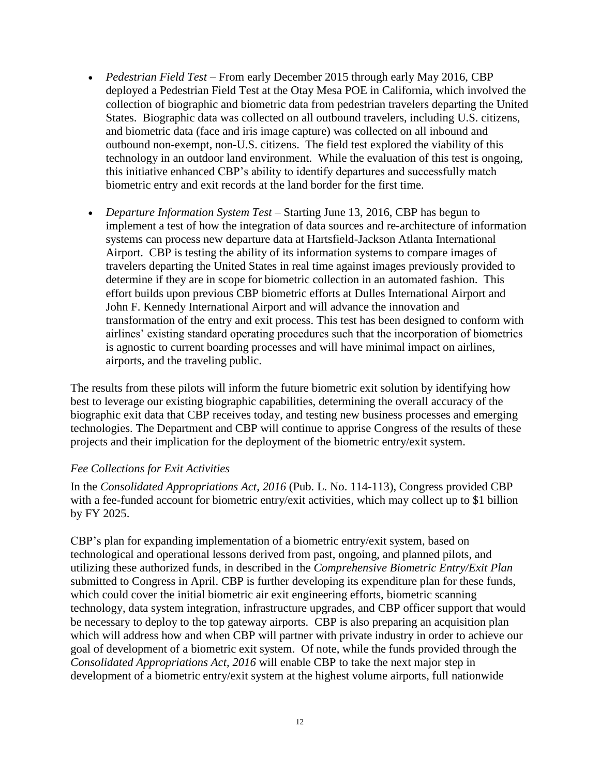- *Pedestrian Field Test* From early December 2015 through early May 2016, CBP deployed a Pedestrian Field Test at the Otay Mesa POE in California, which involved the collection of biographic and biometric data from pedestrian travelers departing the United States. Biographic data was collected on all outbound travelers, including U.S. citizens, and biometric data (face and iris image capture) was collected on all inbound and outbound non-exempt, non-U.S. citizens. The field test explored the viability of this technology in an outdoor land environment. While the evaluation of this test is ongoing, this initiative enhanced CBP's ability to identify departures and successfully match biometric entry and exit records at the land border for the first time.
- *Departure Information System Test* Starting June 13, 2016, CBP has begun to implement a test of how the integration of data sources and re-architecture of information systems can process new departure data at Hartsfield-Jackson Atlanta International Airport. CBP is testing the ability of its information systems to compare images of travelers departing the United States in real time against images previously provided to determine if they are in scope for biometric collection in an automated fashion. This effort builds upon previous CBP biometric efforts at Dulles International Airport and John F. Kennedy International Airport and will advance the innovation and transformation of the entry and exit process. This test has been designed to conform with airlines' existing standard operating procedures such that the incorporation of biometrics is agnostic to current boarding processes and will have minimal impact on airlines, airports, and the traveling public.

The results from these pilots will inform the future biometric exit solution by identifying how best to leverage our existing biographic capabilities, determining the overall accuracy of the biographic exit data that CBP receives today, and testing new business processes and emerging technologies. The Department and CBP will continue to apprise Congress of the results of these projects and their implication for the deployment of the biometric entry/exit system.

#### *Fee Collections for Exit Activities*

In the *Consolidated Appropriations Act, 2016* (Pub. L. No. 114-113), Congress provided CBP with a fee-funded account for biometric entry/exit activities, which may collect up to \$1 billion by FY 2025.

CBP's plan for expanding implementation of a biometric entry/exit system, based on technological and operational lessons derived from past, ongoing, and planned pilots, and utilizing these authorized funds, in described in the *Comprehensive Biometric Entry/Exit Plan* submitted to Congress in April. CBP is further developing its expenditure plan for these funds, which could cover the initial biometric air exit engineering efforts, biometric scanning technology, data system integration, infrastructure upgrades, and CBP officer support that would be necessary to deploy to the top gateway airports. CBP is also preparing an acquisition plan which will address how and when CBP will partner with private industry in order to achieve our goal of development of a biometric exit system. Of note, while the funds provided through the *Consolidated Appropriations Act, 2016* will enable CBP to take the next major step in development of a biometric entry/exit system at the highest volume airports, full nationwide